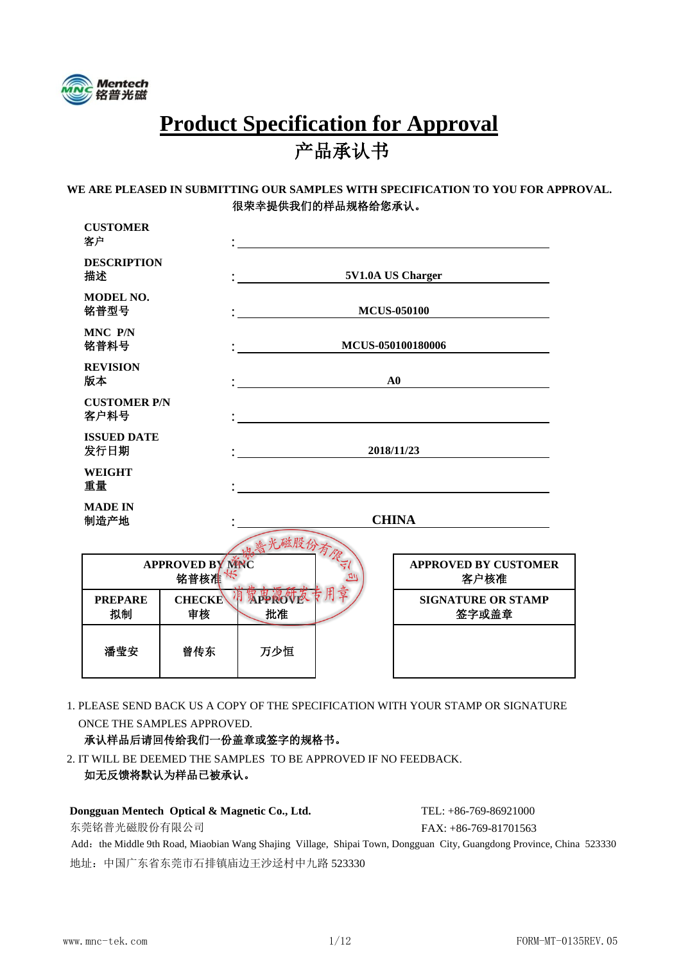

# **Product Specification for Approval** 产品承认书

#### **WE ARE PLEASED IN SUBMITTING OUR SAMPLES WITH SPECIFICATION TO YOU FOR APPROVAL.** 很荣幸提供我们的样品规格给您承认。

| <b>CUSTOMER</b><br>客户               |                                 |                    |              |                                     |  |  |
|-------------------------------------|---------------------------------|--------------------|--------------|-------------------------------------|--|--|
| <b>DESCRIPTION</b><br>描述            |                                 | 5V1.0A US Charger  |              |                                     |  |  |
| <b>MODEL NO.</b><br>铭普型号            |                                 | <b>MCUS-050100</b> |              |                                     |  |  |
| MNC P/N<br>铭普料号                     |                                 | MCUS-050100180006  |              |                                     |  |  |
| <b>REVISION</b><br>版本<br>${\bf A0}$ |                                 |                    |              |                                     |  |  |
| <b>CUSTOMER P/N</b><br>客户料号         |                                 |                    |              |                                     |  |  |
| <b>ISSUED DATE</b><br>发行日期          |                                 | 2018/11/23         |              |                                     |  |  |
| <b>WEIGHT</b><br>重量                 |                                 |                    |              |                                     |  |  |
| <b>MADE IN</b><br>制造产地              |                                 |                    | <b>CHINA</b> |                                     |  |  |
|                                     |                                 | 天磁股份有像             |              |                                     |  |  |
|                                     | <b>APPROVED BY MNC</b><br>铭普核准长 |                    |              | <b>APPROVED BY CUSTOMER</b><br>客户核准 |  |  |
| <b>PREPARE</b><br>拟制                | <b>CHECKE</b><br>审核             | <b>母親的夜~</b><br>批准 |              | <b>SIGNATURE OR STAMP</b><br>签字或盖章  |  |  |
| 潘莹安                                 | 曾传东                             | 万少恒                |              |                                     |  |  |
|                                     |                                 |                    |              |                                     |  |  |

1. PLEASE SEND BACK US A COPY OF THE SPECIFICATION WITH YOUR STAMP OR SIGNATURE ONCE THE SAMPLES APPROVED.

#### 承认样品后请回传给我们一份盖章或签字的规格书。

2. IT WILL BE DEEMED THE SAMPLES TO BE APPROVED IF NO FEEDBACK. 如无反馈将默认为样品已被承认。

| 如无反馈将默认为样品已被承认。                               |                         |
|-----------------------------------------------|-------------------------|
| Dongguan Mentech Optical & Magnetic Co., Ltd. | $TEL: +86-769-86921000$ |
| 东莞铭普光磁股份有限公司                                  | $FAX: +86-769-81701563$ |
|                                               |                         |

Add: the Middle 9th Road, Miaobian Wang Shajing Village, Shipai Town, Dongguan City, Guangdong Province, China 523330 地址:中国广东省东莞市石排镇庙边王沙迳村中九路 523330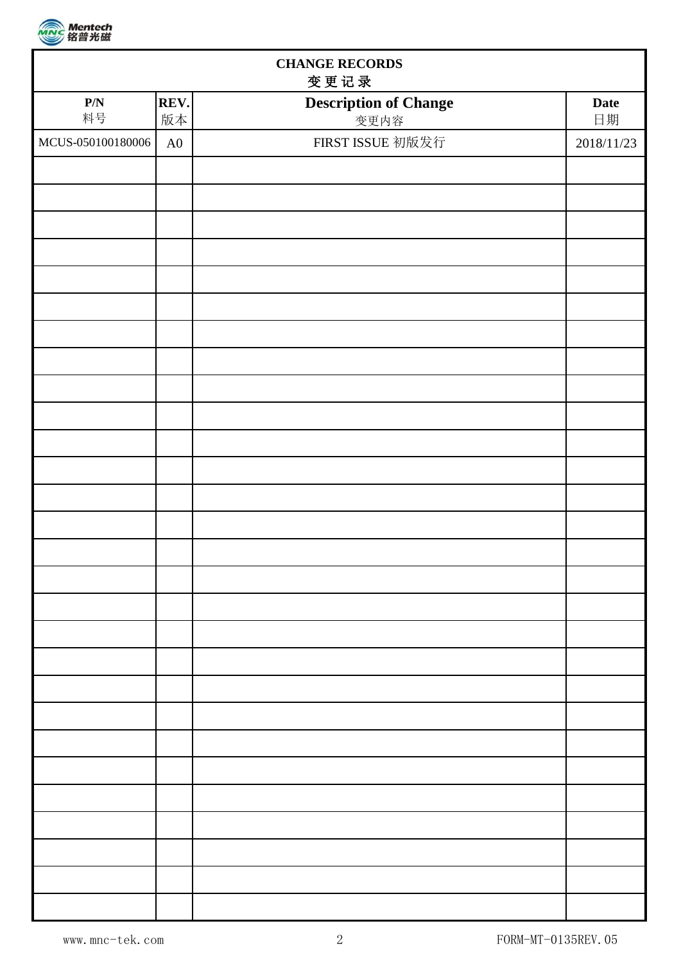

| <b>CHANGE RECORDS</b><br>变更记录 |            |                                      |            |  |  |  |  |
|-------------------------------|------------|--------------------------------------|------------|--|--|--|--|
| $\mathbf{P}/\mathbf{N}$<br>料号 | REV.<br>版本 | <b>Description of Change</b><br>变更内容 | Date<br>日期 |  |  |  |  |
| MCUS-050100180006             | ${\rm A}0$ | FIRST ISSUE 初版发行                     | 2018/11/23 |  |  |  |  |
|                               |            |                                      |            |  |  |  |  |
|                               |            |                                      |            |  |  |  |  |
|                               |            |                                      |            |  |  |  |  |
|                               |            |                                      |            |  |  |  |  |
|                               |            |                                      |            |  |  |  |  |
|                               |            |                                      |            |  |  |  |  |
|                               |            |                                      |            |  |  |  |  |
|                               |            |                                      |            |  |  |  |  |
|                               |            |                                      |            |  |  |  |  |
|                               |            |                                      |            |  |  |  |  |
|                               |            |                                      |            |  |  |  |  |
|                               |            |                                      |            |  |  |  |  |
|                               |            |                                      |            |  |  |  |  |
|                               |            |                                      |            |  |  |  |  |
|                               |            |                                      |            |  |  |  |  |
|                               |            |                                      |            |  |  |  |  |
|                               |            |                                      |            |  |  |  |  |
|                               |            |                                      |            |  |  |  |  |
|                               |            |                                      |            |  |  |  |  |
|                               |            |                                      |            |  |  |  |  |
|                               |            |                                      |            |  |  |  |  |
|                               |            |                                      |            |  |  |  |  |
|                               |            |                                      |            |  |  |  |  |
|                               |            |                                      |            |  |  |  |  |
|                               |            |                                      |            |  |  |  |  |
|                               |            |                                      |            |  |  |  |  |
|                               |            |                                      |            |  |  |  |  |
|                               |            |                                      |            |  |  |  |  |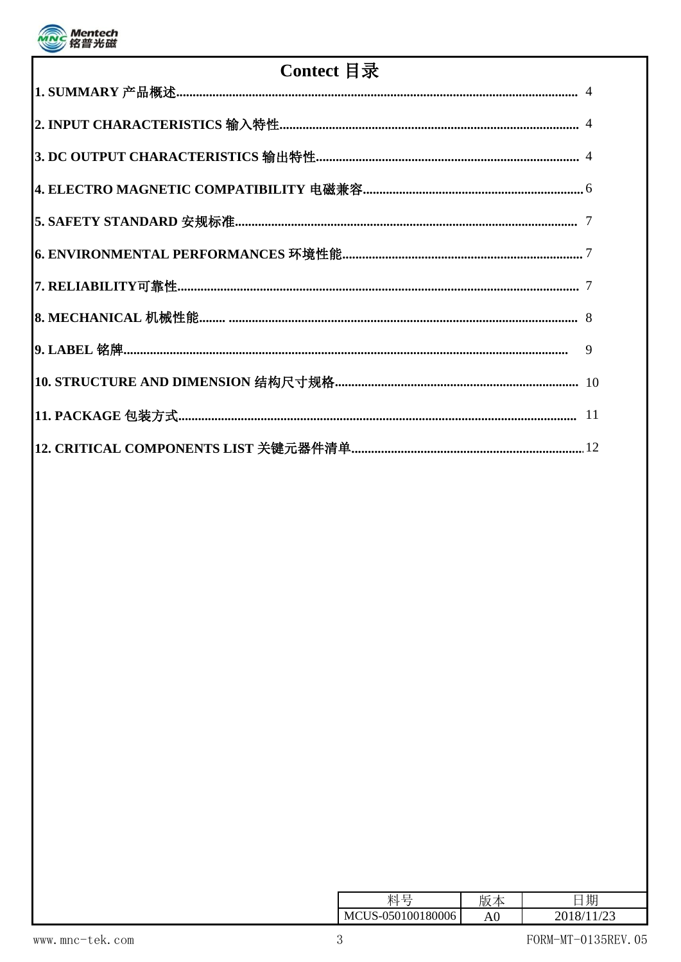

| Contect 目录 |  |  |  |  |  |
|------------|--|--|--|--|--|
|            |  |  |  |  |  |
|            |  |  |  |  |  |
|            |  |  |  |  |  |
|            |  |  |  |  |  |
|            |  |  |  |  |  |
|            |  |  |  |  |  |
|            |  |  |  |  |  |
|            |  |  |  |  |  |
|            |  |  |  |  |  |
|            |  |  |  |  |  |
|            |  |  |  |  |  |
|            |  |  |  |  |  |

|                        |                             | ЦĽ | 期 |
|------------------------|-----------------------------|----|---|
| ັ<br>ັ<br>$\checkmark$ | 501001.<br><b>0006</b><br>× |    |   |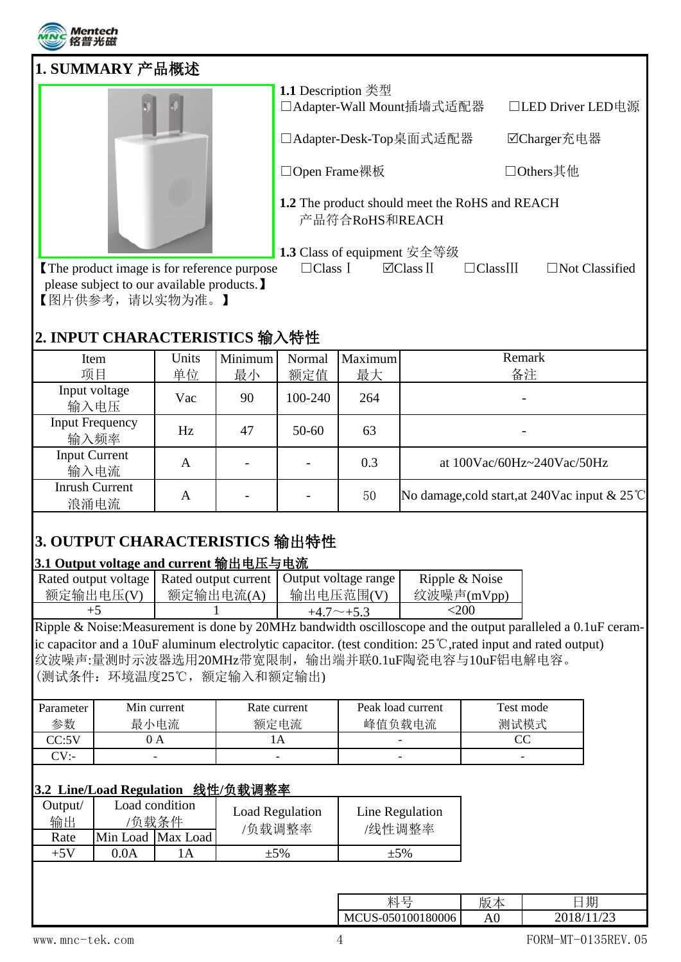

| 1. SUMMARY 产品概述                            |                                                                  |                       |
|--------------------------------------------|------------------------------------------------------------------|-----------------------|
|                                            | 1.1 Description 类型<br>□Adapter-Wall Mount插墙式适配器                  | □LED Driver LED电源     |
|                                            | □Adapter-Desk-Top桌面式适配器                                          | ☑Charger充电器           |
|                                            | □Open Frame裸板                                                    | □Others其他             |
|                                            | 1.2 The product should meet the RoHS and REACH<br>产品符合RoHS和REACH |                       |
|                                            | 1.3 Class of equipment 安全等级                                      |                       |
| The product image is for reference purpose | $\Box$ Class II<br>$\Box$ Class I<br>$\Box$ Class $\rm III$      | $\Box$ Not Classified |

 please subject to our available products.】 【图片供参考,请以实物为准。】

### **2. INPUT CHARACTERISTICS** 输入特性

| Item                   | Units | Minimum | Normal    | Maximum | Remark                                                  |
|------------------------|-------|---------|-----------|---------|---------------------------------------------------------|
| 项目                     | 单位    | 最小      | 额定值       | 最大      | 备注                                                      |
| Input voltage          | Vac   |         | 100-240   | 264     |                                                         |
| 输入电压                   |       | 90      |           |         |                                                         |
| <b>Input Frequency</b> | Hz    | 47      | $50 - 60$ | 63      |                                                         |
| 输入频率                   |       |         |           |         |                                                         |
| <b>Input Current</b>   | A     |         |           | 0.3     | at $100\text{Vac}/60\text{Hz}$ ~240Vac/50Hz             |
| 输入电流                   |       |         |           |         |                                                         |
| <b>Inrush Current</b>  |       |         |           |         |                                                         |
| 浪涌电流                   | A     |         |           | 50      | No damage, cold start, at 240Vac input $& 25^{\circ}$ C |

# **3. OUTPUT CHARACTERISTICS** 输出特性

### **3.1 Output voltage and current** 输出电压与电流

|           |           | Rated output voltage   Rated output current   Output voltage range | Ripple & Noise |
|-----------|-----------|--------------------------------------------------------------------|----------------|
| 额定输出电压(V) | 额定输出电流(A) | 输出电压范围(V)                                                          | 纹波噪声(mVpp)     |
|           |           | $+4.7\sim+5.3$                                                     | <200           |

Ripple & Noise:Measurement is done by 20MHz bandwidth oscilloscope and the output paralleled a 0.1uF ceramic capacitor and a 10uF aluminum electrolytic capacitor. (test condition: 25℃,rated input and rated output) 纹波噪声:量测时示波器选用20MHz带宽限制,输出端并联0.1uF陶瓷电容与10uF铝电解电容。 (测试条件:环境温度25℃,额定输入和额定输出)

| Parameter  | Min current | Rate current | Peak load current | Test mode |
|------------|-------------|--------------|-------------------|-----------|
| 参数         | 最小电流        | 额定电流         | 峰值负载电流            | 测试模式      |
| CC:5V      | JΑ          |              |                   | w         |
| $\gamma$ . |             |              |                   | -         |

### **3.2 Line/Load Regulation** 线性**/**负载调整率

| Jutput/<br>输出 |       | Load condition<br>'负载条件 | <b>Load Regulation</b><br>/负载调整率 | Line Regulation<br>/线性调整率 |
|---------------|-------|-------------------------|----------------------------------|---------------------------|
| Rate          |       | Min Load Max Load       |                                  |                           |
| $+5V$         | 0 O A | ΙA                      | $+5\%$                           | $+5%$                     |
|               |       |                         |                                  |                           |

| 期<br>$\overline{ }$<br>$\overline{\phantom{0}}$<br>止口<br>HJX.<br>⚠<br>— | - Alzan |
|-------------------------------------------------------------------------|---------|
| $\sim$<br>80006<br>OC<br>AU<br>∠∪<br>--                                 | 1M/L    |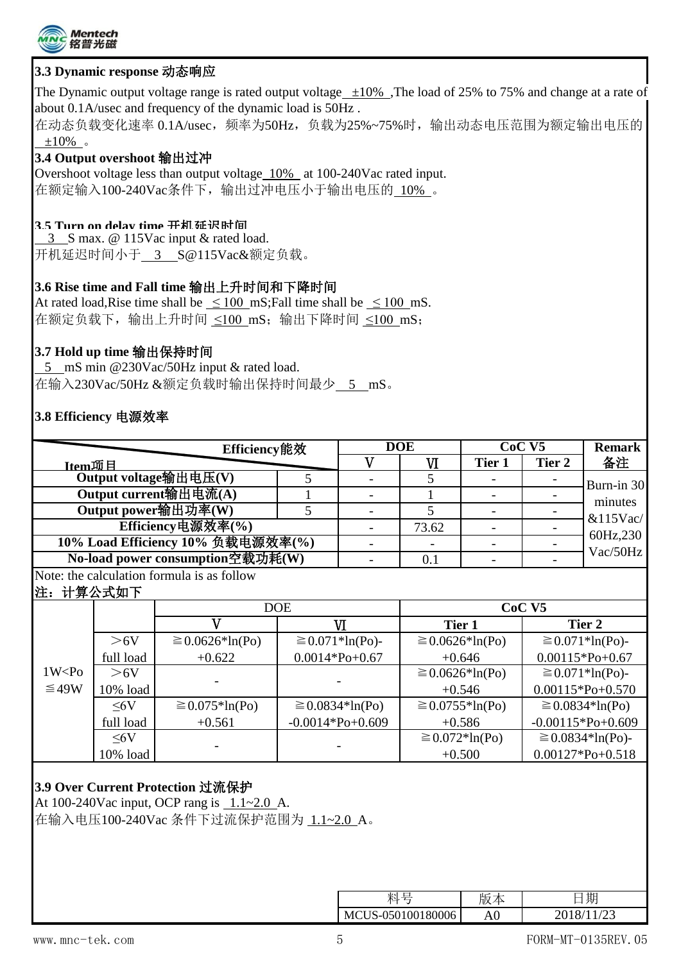

#### **3.3 Dynamic response** 动态响应

The Dynamic output voltage range is rated output voltage  $\pm 10\%$ . The load of 25% to 75% and change at a rate of about 0.1A/usec and frequency of the dynamic load is 50Hz .

在动态负载变化速率 0.1A/usec, 频率为50Hz, 负载为25%~75%时, 输出动态电压范围为额定输出电压的  $±10\%$  。

#### **3.4 Output overshoot** 输出过冲

Overshoot voltage less than output voltage 10% at 100-240Vac rated input. 在额定输入100-240Vac条件下,输出过冲电压小于输出电压的 10% 。

#### **3.5 Turn on delay time** 开机延迟时间

 3 S max. @ 115Vac input & rated load. 开机延迟时间小于 3 S@115Vac&额定负载。

#### **3.6 Rise time and Fall time** 输出上升时间和下降时间

At rated load, Rise time shall be  $\leq 100$  mS; Fall time shall be  $\leq 100$  mS. 在额定负载下,输出上升时间 ≤100 mS;输出下降时间 ≤100 mS;

#### **3.7 Hold up time** 输出保持时间

 5 mS min @230Vac/50Hz input & rated load. 在输入230Vac/50Hz &额定负载时输出保持时间最少 5 mS。

#### **3.8 Efficiency** 电源效率

|                                   |           | Efficiency能效                               |                       |                         | <b>DOE</b>           |                     | CoC <sub>V5</sub>     | <b>Remark</b>         |
|-----------------------------------|-----------|--------------------------------------------|-----------------------|-------------------------|----------------------|---------------------|-----------------------|-----------------------|
| <b>Item项目</b>                     |           |                                            |                       | $\overline{\mathsf{V}}$ | VI                   | Tier 1              | Tier 2                | 备注                    |
| Output voltage输出电压(V)             |           |                                            | 5                     |                         | 5                    |                     |                       | Burn-in 30            |
| Output current输出电流(A)             |           |                                            |                       |                         |                      |                     |                       | minutes               |
| Output power输出功率(W)               |           | 5                                          |                       | 5                       |                      |                     |                       |                       |
| Efficiency电源效率(%)                 |           |                                            |                       |                         | 73.62                |                     |                       | $&115$ Vac/           |
| 10% Load Efficiency 10% 负载电源效率(%) |           |                                            |                       |                         |                      |                     |                       | 60Hz,230              |
|                                   |           | No-load power consumption空载功耗(W)           |                       |                         | 0.1                  |                     |                       | Vac/50Hz              |
|                                   |           | Note: the calculation formula is as follow |                       |                         |                      |                     |                       |                       |
| 注:                                | 计算公式如下    |                                            |                       |                         |                      |                     |                       |                       |
|                                   |           | <b>DOE</b>                                 |                       | CoC <sub>VI</sub>       |                      |                     |                       |                       |
|                                   |           | $\mathbf V$                                |                       | VI                      | Tier 1               |                     |                       | Tier 2                |
|                                   | >6V       | $\geq$ 0.0626 <sup>*</sup> ln(Po)          | $\geq 0.071*ln(PO)$ - |                         | $\geq 0.0626*ln(Po)$ |                     | $\geq 0.071*ln(PO)$ - |                       |
|                                   | full load | $+0.622$                                   | $0.0014*Po+0.67$      |                         | $+0.646$             |                     | $0.00115*Po+0.67$     |                       |
| 1W < P <sub>0</sub>               | >6V       |                                            |                       |                         | $\geq$ 0.0626*ln(Po) |                     | $\geq 0.071*ln(PO)$ - |                       |
| ≤49W                              | 10% load  |                                            |                       |                         | $+0.546$             |                     | $0.00115*Po+0.570$    |                       |
|                                   | $\leq 6V$ | $\geq 0.075*ln(PO)$                        | $\geq$ 0.0834*ln(Po)  |                         | $\geq$ 0.0755*ln(Po) |                     | $\geq 0.0834*ln(P0)$  |                       |
|                                   | full load | $+0.561$                                   | $-0.0014*Po+0.609$    |                         |                      | $+0.586$            | $-0.00115*Po+0.609$   |                       |
|                                   | $\leq 6V$ |                                            |                       |                         |                      | $\geq 0.072*ln(PO)$ |                       | $\geq$ 0.0834*ln(Po)- |
|                                   | 10% load  |                                            |                       |                         | $+0.500$             |                     | $0.00127*Po+0.518$    |                       |
|                                   |           |                                            |                       |                         |                      |                     |                       |                       |

#### **3.9 Over Current Protection** 过流保护

At 100-240Vac input, OCP rang is 1.1~2.0 A.

在输入电压100-240Vac 条件下过流保护范围为 1.1~2.0 A。

|                   | $\cdots$<br>н |
|-------------------|---------------|
| MCUS-050100180006 |               |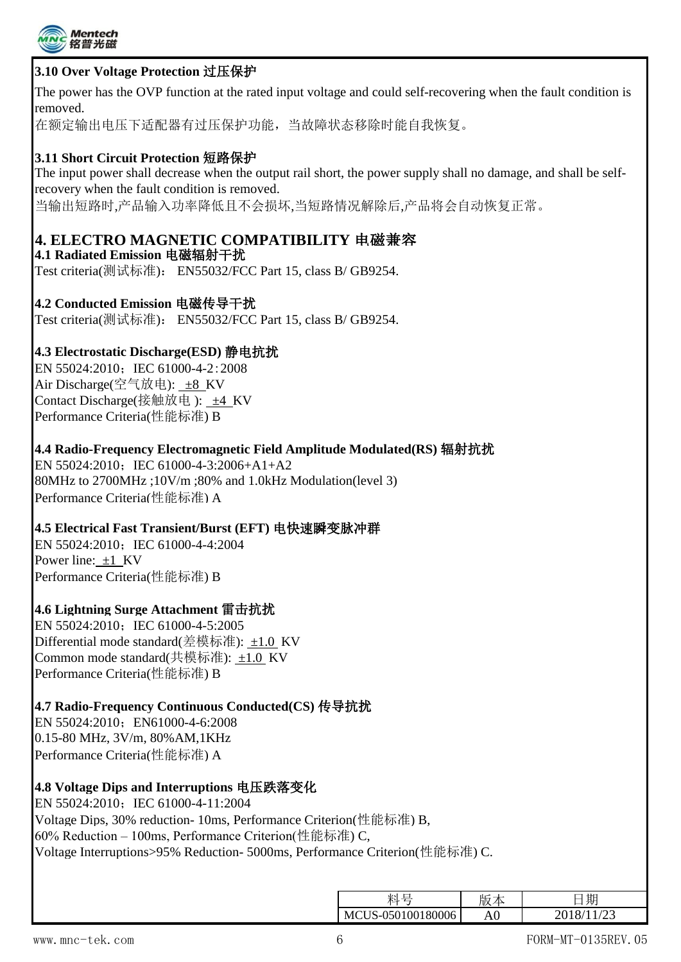

#### **3.10 Over Voltage Protection** 过压保护

The power has the OVP function at the rated input voltage and could self-recovering when the fault condition is removed.

在额定输出电压下适配器有过压保护功能,当故障状态移除时能自我恢复。

#### **3.11 Short Circuit Protection** 短路保护

The input power shall decrease when the output rail short, the power supply shall no damage, and shall be selfrecovery when the fault condition is removed.

当输出短路时,产品输入功率降低且不会损坏,当短路情况解除后,产品将会自动恢复正常。

### **4. ELECTRO MAGNETIC COMPATIBILITY** 电磁兼容

**4.1 Radiated Emission** 电磁辐射干扰 Test criteria(测试标准): EN55032/FCC Part 15, class B/ GB9254.

**4.2 Conducted Emission** 电磁传导干扰 Test criteria(测试标准): EN55032/FCC Part 15, class B/ GB9254.

#### **4.3 Electrostatic Discharge(ESD)** 静电抗扰

EN 55024:2010; IEC 61000-4-2:2008 Air Discharge(空气放电): ±8 KV Contact Discharge(接触放电): ±4 KV Performance Criteria(性能标准) B

**4.4 Radio-Frequency Electromagnetic Field Amplitude Modulated(RS)** 辐射抗扰 EN 55024:2010; IEC 61000-4-3:2006+A1+A2 80MHz to 2700MHz ;10V/m ;80% and 1.0kHz Modulation(level 3) Performance Criteria(性能标准) A

**4.5 Electrical Fast Transient/Burst (EFT)** 电快速瞬变脉冲群

EN 55024:2010; IEC 61000-4-4:2004 Power line: ±1 KV Performance Criteria(性能标准) B

#### **4.6 Lightning Surge Attachment** 雷击抗扰

EN 55024:2010; IEC 61000-4-5:2005 Differential mode standard(差模标准): ±1.0 KV Common mode standard(共模标准): ±1.0 KV Performance Criteria(性能标准) B

#### **4.7 Radio-Frequency Continuous Conducted(CS)** 传导抗扰

EN 55024:2010: EN61000-4-6:2008 0.15-80 MHz, 3V/m, 80%AM,1KHz Performance Criteria(性能标准) A

#### **4.8 Voltage Dips and Interruptions** 电压跌落变化

EN 55024:2010; IEC 61000-4-11:2004 Voltage Dips, 30% reduction- 10ms, Performance Criterion(性能标准) B, 60% Reduction – 100ms, Performance Criterion(性能标准) C, Voltage Interruptions>95% Reduction- 5000ms, Performance Criterion(性能标准) C.

|                   | ۳۳ |      |
|-------------------|----|------|
| MCUS-050100180006 |    | /2.3 |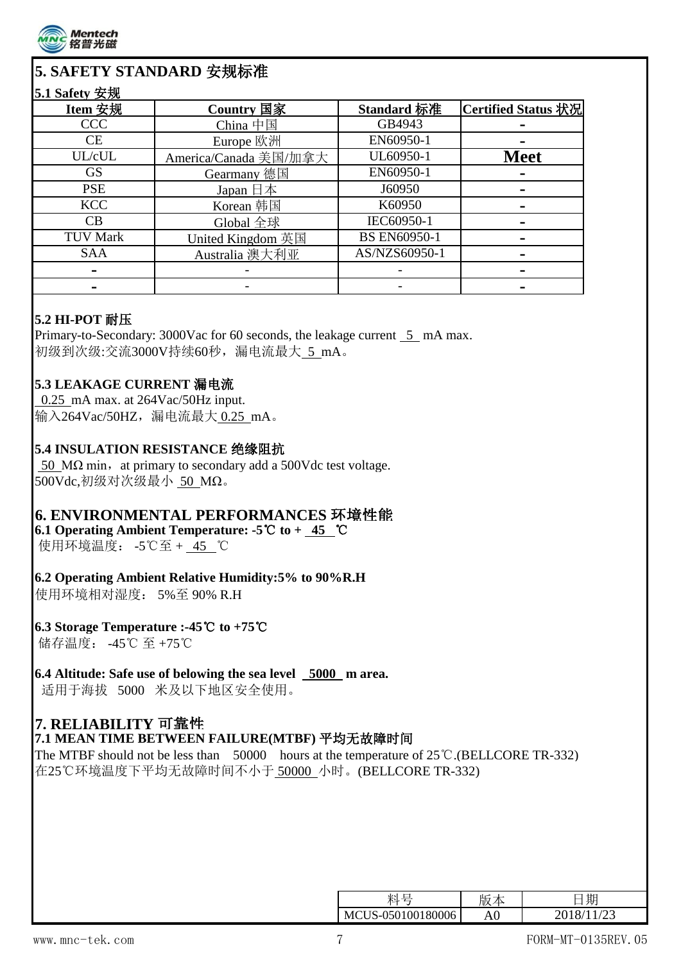

### **5. SAFETY STANDARD** 安规标准

#### **5.1 Safety** 安规

| Item 安规         | Country 国家                | Standard 标准         | Certified Status 状况 |
|-----------------|---------------------------|---------------------|---------------------|
| <b>CCC</b>      | China 中国                  | GB4943              |                     |
| CE              | Europe 欧洲                 | EN60950-1           |                     |
| UL/cUL          | America/Canada 美国/加拿大     | UL60950-1           | <b>Meet</b>         |
| <b>GS</b>       | Gearmany 德国               | EN60950-1           |                     |
| <b>PSE</b>      | Japan $\boxplus \nexists$ | J60950              |                     |
| <b>KCC</b>      | Korean 韩国                 | K60950              |                     |
| CB              | Global 全球                 | IEC60950-1          |                     |
| <b>TUV Mark</b> | United Kingdom 英国         | <b>BS EN60950-1</b> |                     |
| <b>SAA</b>      | Australia 澳大利亚            | AS/NZS60950-1       |                     |
|                 |                           |                     |                     |
|                 |                           |                     |                     |

#### **5.2 HI-POT** 耐压

Primary-to-Secondary: 3000Vac for 60 seconds, the leakage current 5 mA max. 初级到次级:交流3000V持续60秒,漏电流最大 5 mA。

#### **5.3 LEAKAGE CURRENT** 漏电流

 0.25 mA max. at 264Vac/50Hz input. 输入264Vac/50HZ,漏电流最大 0.25 mA。

### **5.4 INSULATION RESISTANCE** 绝缘阻抗

50 M $\Omega$  min, at primary to secondary add a 500Vdc test voltage. 500Vdc,初级对次级最小 50 MΩ。

### **6. ENVIRONMENTAL PERFORMANCES** 环境性能

**6.1 Operating Ambient Temperature: -5**℃ **to + 45** ℃

使用环境温度: -5℃至 + 45 ℃

#### **6.2 Operating Ambient Relative Humidity:5% to 90%R.H**

使用环境相对湿度: 5%至 90% R.H

**6.3 Storage Temperature :-45**℃ **to +75**℃ 储存温度: -45℃ 至 +75℃

#### **6.4 Altitude: Safe use of belowing the sea level 5000 m area.**

适用于海拔 5000 米及以下地区安全使用。

### **7. RELIABILITY** 可靠性

#### **7.1 MEAN TIME BETWEEN FAILURE(MTBF)** 平均无故障时间

The MTBF should not be less than  $\overline{\smash{50000}}$  hours at the temperature of 25°C.(BELLCORE TR-332) 在25℃环境温度下平均无故障时间不小于 50000 小时。(BELLCORE TR-332)

|                   | ᄔ |  |
|-------------------|---|--|
| MCUS-050100180006 |   |  |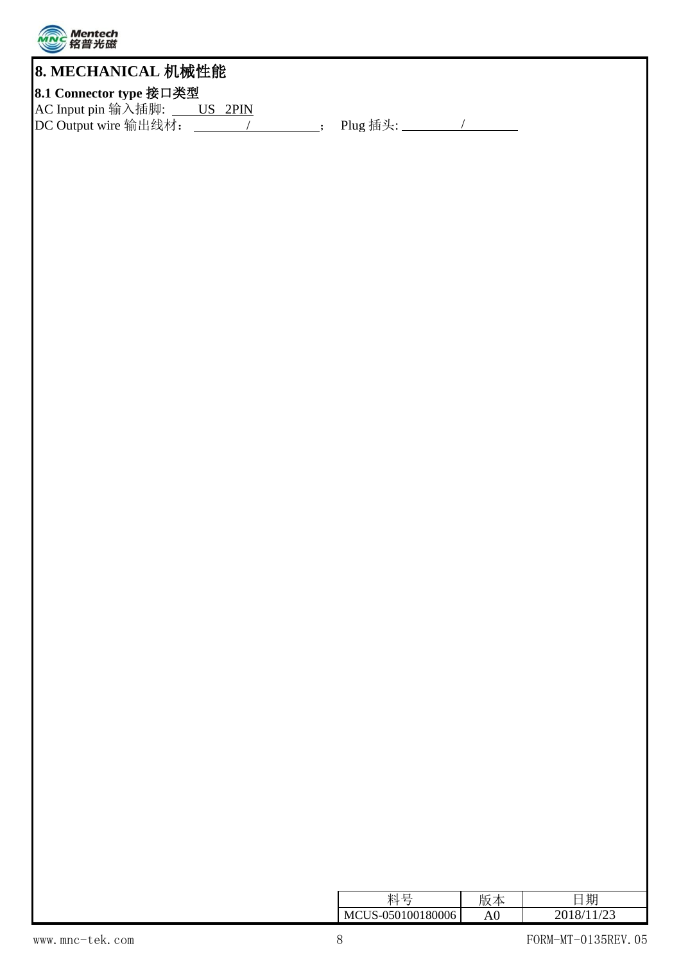

## **8. MECHANICAL** 机械性能

### **8.1 Connector type** 接口类型

AC Input pin 输入插脚: US 2PIN DC Output wire 输出线材: \_\_\_\_\_\_\_\_\_\_\_\_\_\_\_\_\_\_\_\_\_\_; Plug 插头: \_\_\_\_\_\_\_\_\_\_\_\_/

|                |    | $F \rightarrow F$ |
|----------------|----|-------------------|
| MС<br>۱h<br>٦ı | ▴◡ |                   |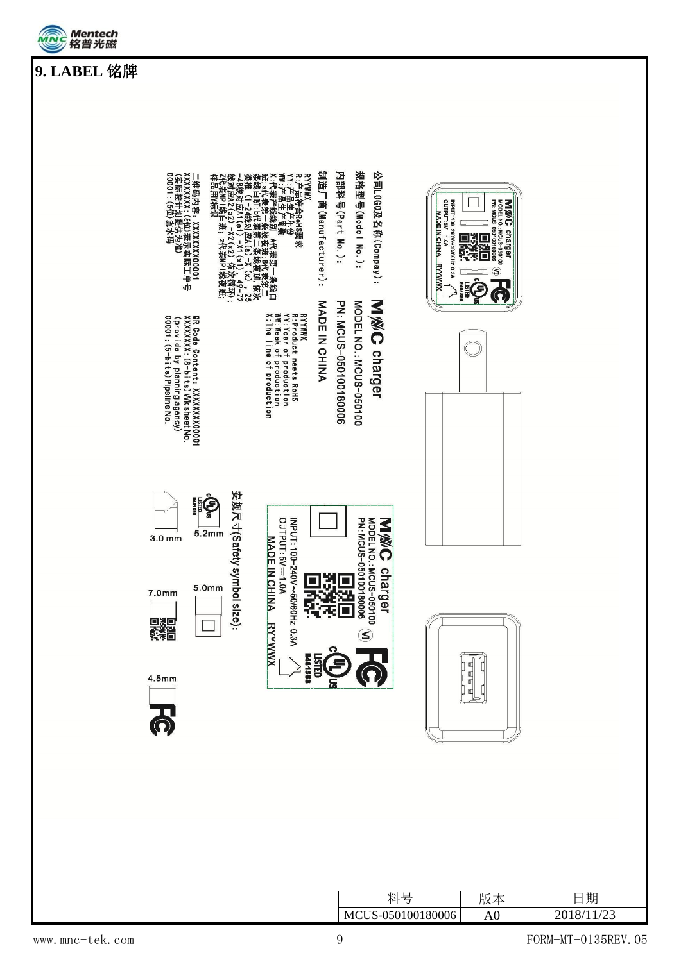



|                                                                                                                                                                                                                                                | 制造厂商(Manufacturer):<br>RYY#WX<br>17: A#自由的数<br>17: A#由来的数据应用,在于条线上<br>21: A#主要控线线系统(1-24线对应A(a)→X(x),25<br>数据集(1-24线对应A(a)→X(x),25<br>35 数据(1-24线对应A(a)→X(x),25<br>35 数据数 2010 12: A1: A2: A5: A5: A5: A5: A5:<br>35 数据数 2010 12: A1: A5: A5: A5: A5: A5: A5:<br>25: A5: A<br>MADE IN CHINA | 规格型号(Model No.):<br>内部科号(Part No.):<br>公司L0G0及名称(Conpay):<br><b>MWG</b> charger                                                                                                                    | INPUT: 100-240V~50/60Hz 0.3A<br>OUTPUT: 5V 1.0A<br><b>MADE IN CHINA.</b><br><b>XMMXXH</b><br><b>LSTD</b><br>E481888 | MODEL NO.: MCUS-050100<br>PN: MCUS-050100180006<br><b>NWC</b><br>charger<br>▓<br>۸<br>$\overline{2}$<br>e |                  |
|------------------------------------------------------------------------------------------------------------------------------------------------------------------------------------------------------------------------------------------------|---------------------------------------------------------------------------------------------------------------------------------------------------------------------------------------------------------------------------------------------------------------------------------------------|----------------------------------------------------------------------------------------------------------------------------------------------------------------------------------------------------|---------------------------------------------------------------------------------------------------------------------|-----------------------------------------------------------------------------------------------------------|------------------|
| GR Code Content: XXXXXXXX00001<br>XXXXXXXX: (8-bits) Wk sheet No.<br>(provide by planning agency)<br>00001: (5-bits) Pipeline No.<br>安规尺寸(Safety symbol si<br><b>ilé</b><br>5.2mm<br>3.0 <sub>mm</sub><br>5.0mm<br>7.0mm<br>ze):<br>爨<br>4.5mm | RYYMWX<br>V: Yeduct meets RoHS<br>V: Yeduct meets RoHS<br>Wy Meek of production<br>X:The line of production<br>OUTPUT: 5V == 1.0A<br>INPUT: 100-240V~50/60Hz 0.3A<br>MADE IN CHINA<br>Y.<br>Ş<br>差<br><b>RYWWX</b><br>LISTED<br>E481558                                                     | MODEL NO.: MCUS-050100<br>PN: MCUS-050100180006<br>MODEL NO. : MCUS-050100<br>PN: MCUS-050100180006<br>PN: MCUS-050100180006<br>MWC<br>charger<br>Ľ<br>$\overline{\Box}$<br>$\mathbf{\widehat{S}}$ |                                                                                                                     |                                                                                                           |                  |
|                                                                                                                                                                                                                                                |                                                                                                                                                                                                                                                                                             | 料号<br>MCUS-050100180006                                                                                                                                                                            |                                                                                                                     | 版本<br>${\rm A0}$                                                                                          | 日期<br>2018/11/23 |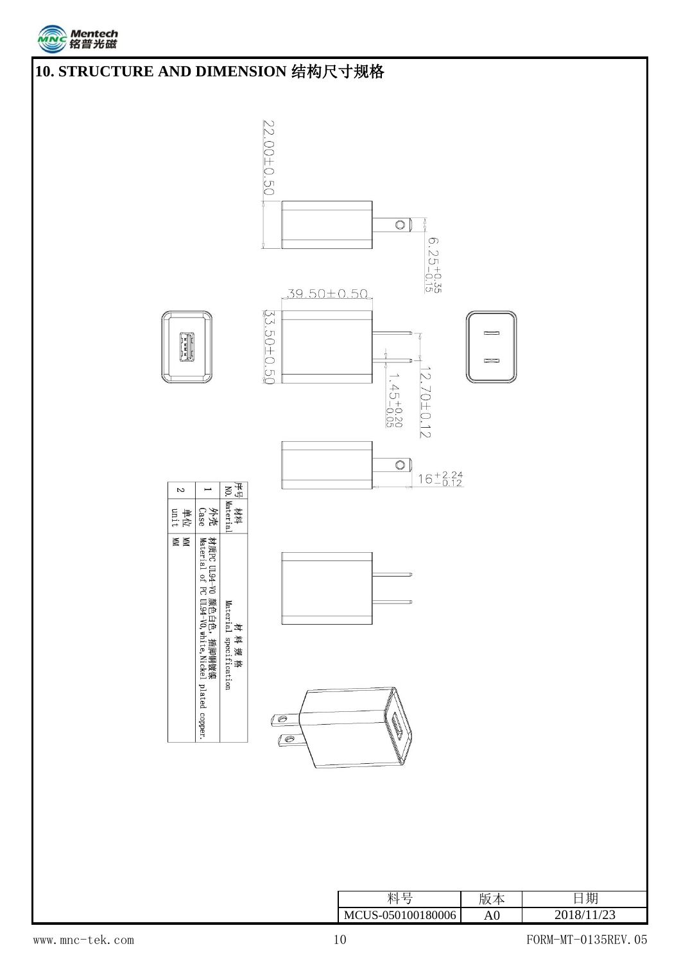



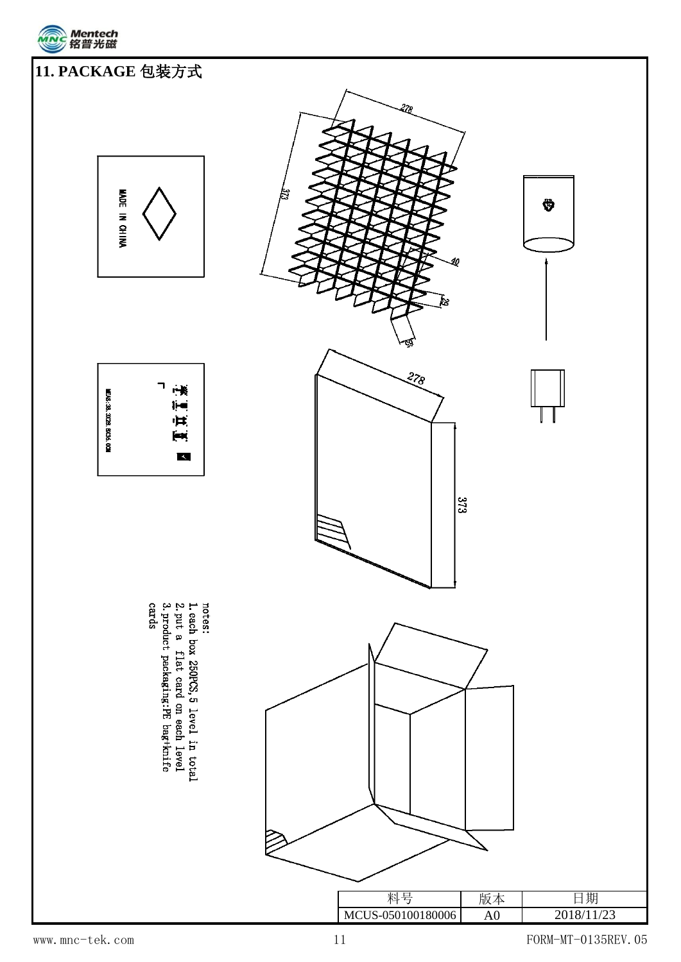